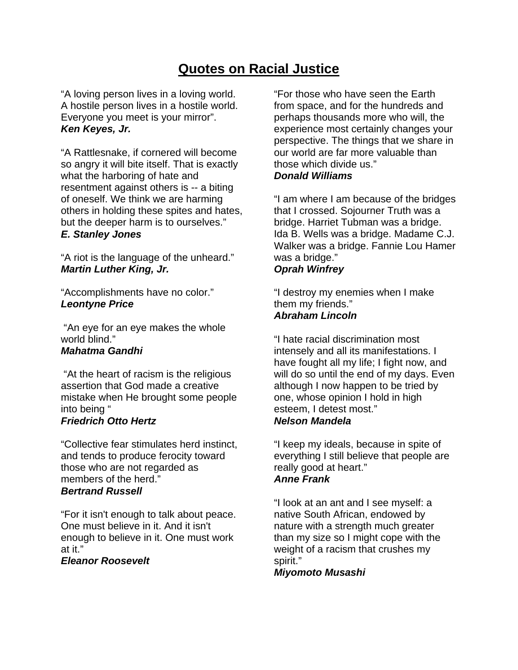# **Quotes on Racial Justice**

"A loving person lives in a loving world. A hostile person lives in a hostile world. Everyone you meet is your mirror". *Ken Keyes, Jr.* 

"A Rattlesnake, if cornered will become so angry it will bite itself. That is exactly what the harboring of hate and resentment against others is -- a biting of oneself. We think we are harming others in holding these spites and hates, but the deeper harm is to ourselves." *E. Stanley Jones* 

"A riot is the language of the unheard." *Martin Luther King, Jr.*

"Accomplishments have no color." *Leontyne Price*

 "An eye for an eye makes the whole world blind." *Mahatma Gandhi* 

 "At the heart of racism is the religious assertion that God made a creative mistake when He brought some people into being "

### *Friedrich Otto Hertz*

"Collective fear stimulates herd instinct, and tends to produce ferocity toward those who are not regarded as members of the herd." *Bertrand Russell* 

"For it isn't enough to talk about peace. One must believe in it. And it isn't enough to believe in it. One must work at it."

*Eleanor Roosevelt* 

"For those who have seen the Earth from space, and for the hundreds and perhaps thousands more who will, the experience most certainly changes your perspective. The things that we share in our world are far more valuable than those which divide us." *Donald Williams* 

"I am where I am because of the bridges that I crossed. Sojourner Truth was a bridge. Harriet Tubman was a bridge. Ida B. Wells was a bridge. Madame C.J. Walker was a bridge. Fannie Lou Hamer was a bridge."

## *Oprah Winfrey*

"I destroy my enemies when I make them my friends." *Abraham Lincoln* 

"I hate racial discrimination most intensely and all its manifestations. I have fought all my life; I fight now, and will do so until the end of my days. Even although I now happen to be tried by one, whose opinion I hold in high esteem, I detest most." *Nelson Mandela* 

"I keep my ideals, because in spite of everything I still believe that people are really good at heart." *Anne Frank* 

"I look at an ant and I see myself: a native South African, endowed by nature with a strength much greater than my size so I might cope with the weight of a racism that crushes my spirit."

*Miyomoto Musashi*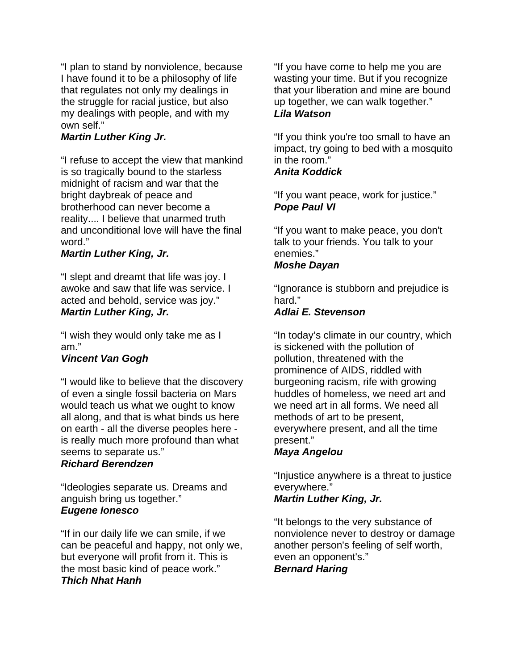"I plan to stand by nonviolence, because I have found it to be a philosophy of life that regulates not only my dealings in the struggle for racial justice, but also my dealings with people, and with my own self."

### *Martin Luther King Jr.*

"I refuse to accept the view that mankind is so tragically bound to the starless midnight of racism and war that the bright daybreak of peace and brotherhood can never become a reality.... I believe that unarmed truth and unconditional love will have the final word."

#### *Martin Luther King, Jr.*

"I slept and dreamt that life was joy. I awoke and saw that life was service. I acted and behold, service was joy." *Martin Luther King, Jr.*

"I wish they would only take me as I am."

### *Vincent Van Gogh*

"I would like to believe that the discovery of even a single fossil bacteria on Mars would teach us what we ought to know all along, and that is what binds us here on earth - all the diverse peoples here is really much more profound than what seems to separate us."

### *Richard Berendzen*

"Ideologies separate us. Dreams and anguish bring us together." *Eugene Ionesco* 

"If in our daily life we can smile, if we can be peaceful and happy, not only we, but everyone will profit from it. This is the most basic kind of peace work." *Thich Nhat Hanh*

"If you have come to help me you are wasting your time. But if you recognize that your liberation and mine are bound up together, we can walk together." *Lila Watson* 

"If you think you're too small to have an impact, try going to bed with a mosquito in the room."

### *Anita Koddick*

"If you want peace, work for justice." *Pope Paul VI*

"If you want to make peace, you don't talk to your friends. You talk to your enemies."

### *Moshe Dayan*

"Ignorance is stubborn and prejudice is hard"

# *Adlai E. Stevenson*

"In today's climate in our country, which is sickened with the pollution of pollution, threatened with the prominence of AIDS, riddled with burgeoning racism, rife with growing huddles of homeless, we need art and we need art in all forms. We need all methods of art to be present, everywhere present, and all the time present."

### *Maya Angelou*

"Injustice anywhere is a threat to justice everywhere."

### *Martin Luther King, Jr.*

"It belongs to the very substance of nonviolence never to destroy or damage another person's feeling of self worth, even an opponent's." *Bernard Haring*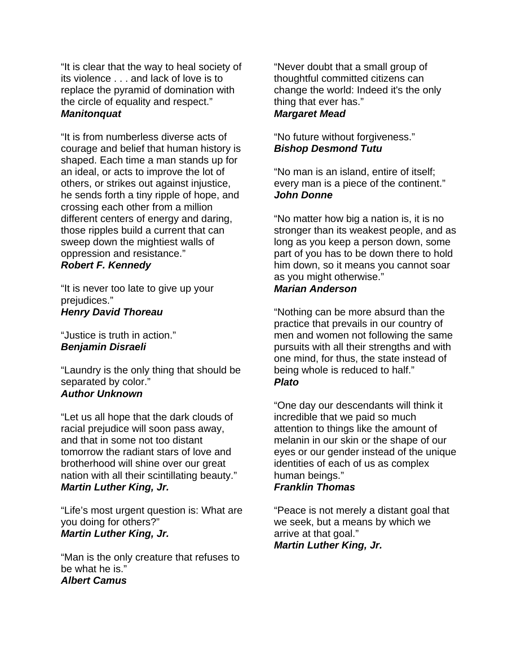"It is clear that the way to heal society of its violence . . . and lack of love is to replace the pyramid of domination with the circle of equality and respect." *Manitonquat*

"It is from numberless diverse acts of courage and belief that human history is shaped. Each time a man stands up for an ideal, or acts to improve the lot of others, or strikes out against injustice, he sends forth a tiny ripple of hope, and crossing each other from a million different centers of energy and daring, those ripples build a current that can sweep down the mightiest walls of oppression and resistance."

### *Robert F. Kennedy*

"It is never too late to give up your prejudices." *Henry David Thoreau* 

#### "Justice is truth in action." *Benjamin Disraeli*

"Laundry is the only thing that should be separated by color." *Author Unknown* 

"Let us all hope that the dark clouds of racial prejudice will soon pass away, and that in some not too distant tomorrow the radiant stars of love and brotherhood will shine over our great nation with all their scintillating beauty." *Martin Luther King, Jr.* 

"Life's most urgent question is: What are you doing for others?" *Martin Luther King, Jr.* 

"Man is the only creature that refuses to be what he is." *Albert Camus* 

"Never doubt that a small group of thoughtful committed citizens can change the world: Indeed it's the only thing that ever has." *Margaret Mead* 

### "No future without forgiveness." *Bishop Desmond Tutu*

"No man is an island, entire of itself; every man is a piece of the continent." *John Donne*

"No matter how big a nation is, it is no stronger than its weakest people, and as long as you keep a person down, some part of you has to be down there to hold him down, so it means you cannot soar as you might otherwise." *Marian Anderson* 

"Nothing can be more absurd than the practice that prevails in our country of men and women not following the same pursuits with all their strengths and with one mind, for thus, the state instead of being whole is reduced to half." *Plato* 

"One day our descendants will think it incredible that we paid so much attention to things like the amount of melanin in our skin or the shape of our eyes or our gender instead of the unique identities of each of us as complex human beings." *Franklin Thomas* 

"Peace is not merely a distant goal that we seek, but a means by which we arrive at that goal." *Martin Luther King, Jr.*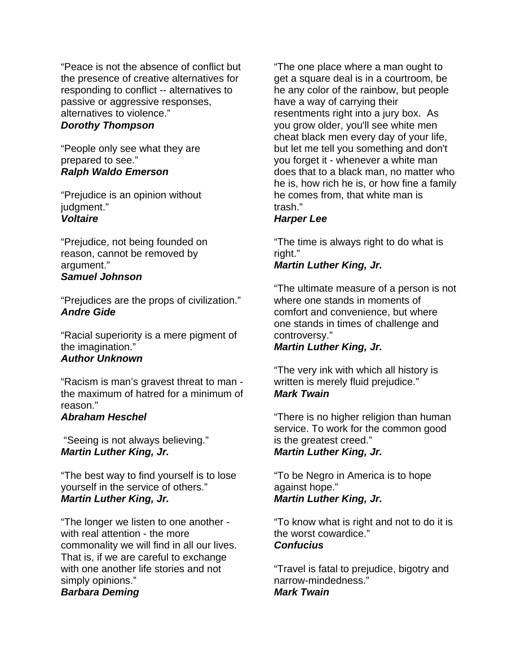"Peace is not the absence of conflict but the presence of creative alternatives for responding to conflict -- alternatives to passive or aggressive responses, alternatives to violence."

### *Dorothy Thompson*

"People only see what they are prepared to see." *Ralph Waldo Emerson* 

"Prejudice is an opinion without judgment." *Voltaire* 

"Prejudice, not being founded on reason, cannot be removed by argument." *Samuel Johnson* 

"Prejudices are the props of civilization." *Andre Gide* 

"Racial superiority is a mere pigment of the imagination." *Author Unknown* 

"Racism is man's gravest threat to man the maximum of hatred for a minimum of reason."

#### *Abraham Heschel*

 "Seeing is not always believing." *Martin Luther King, Jr.* 

"The best way to find yourself is to lose yourself in the service of others." *Martin Luther King, Jr.* 

"The longer we listen to one another with real attention - the more commonality we will find in all our lives. That is, if we are careful to exchange with one another life stories and not simply opinions."

#### *Barbara Deming*

"The one place where a man ought to get a square deal is in a courtroom, be he any color of the rainbow, but people have a way of carrying their resentments right into a jury box. As you grow older, you'll see white men cheat black men every day of your life, but let me tell you something and don't you forget it - whenever a white man does that to a black man, no matter who he is, how rich he is, or how fine a family he comes from, that white man is trash."

### *Harper Lee*

"The time is always right to do what is right."

### *Martin Luther King, Jr.*

"The ultimate measure of a person is not where one stands in moments of comfort and convenience, but where one stands in times of challenge and controversy."

#### *Martin Luther King, Jr.*

"The very ink with which all history is written is merely fluid prejudice." *Mark Twain* 

"There is no higher religion than human service. To work for the common good is the greatest creed." *Martin Luther King, Jr.* 

"To be Negro in America is to hope against hope." *Martin Luther King, Jr.* 

"To know what is right and not to do it is the worst cowardice." *Confucius* 

"Travel is fatal to prejudice, bigotry and narrow-mindedness." *Mark Twain*